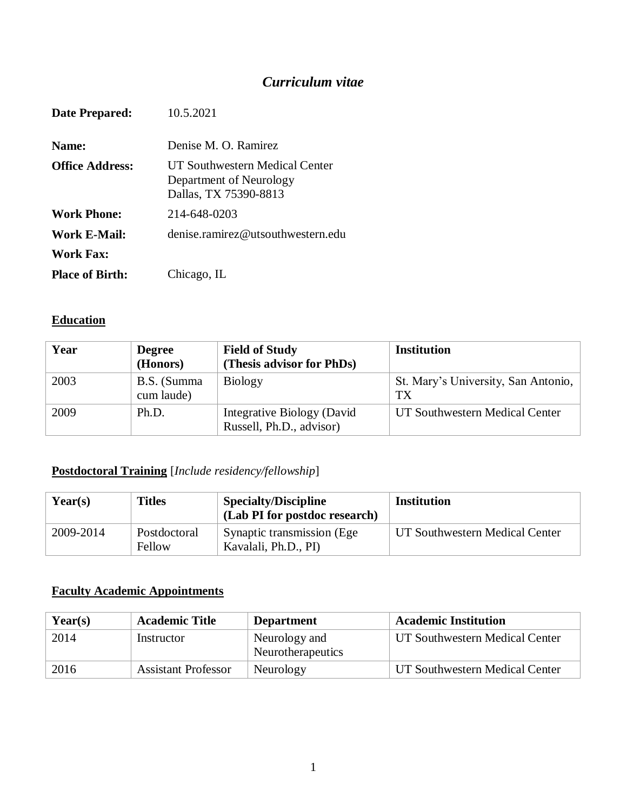# *Curriculum vitae*

| Date Prepared:         | 10.5.2021                                                                          |
|------------------------|------------------------------------------------------------------------------------|
| Name:                  | Denise M. O. Ramirez                                                               |
| <b>Office Address:</b> | UT Southwestern Medical Center<br>Department of Neurology<br>Dallas, TX 75390-8813 |
| <b>Work Phone:</b>     | 214-648-0203                                                                       |
| Work E-Mail:           | denise.ramirez@utsouthwestern.edu                                                  |
| Work Fax:              |                                                                                    |
| <b>Place of Birth:</b> | Chicago, IL                                                                        |

### **Education**

| Year | <b>Degree</b><br>(Honors) | <b>Field of Study</b><br>(Thesis advisor for PhDs)     | <b>Institution</b>                        |
|------|---------------------------|--------------------------------------------------------|-------------------------------------------|
| 2003 | B.S. (Summa<br>cum laude) | <b>Biology</b>                                         | St. Mary's University, San Antonio,<br>TX |
| 2009 | Ph.D.                     | Integrative Biology (David<br>Russell, Ph.D., advisor) | UT Southwestern Medical Center            |

## **Postdoctoral Training** [*Include residency/fellowship*]

| $\text{Year}(s)$ | Titles                 | <b>Specialty/Discipline</b><br>(Lab PI for postdoc research) | Institution                    |
|------------------|------------------------|--------------------------------------------------------------|--------------------------------|
| 2009-2014        | Postdoctoral<br>Fellow | Synaptic transmission (Ege.)<br>Kavalali, Ph.D., PI)         | UT Southwestern Medical Center |

### **Faculty Academic Appointments**

| Year(s) | <b>Academic Title</b>      | <b>Department</b>                  | <b>Academic Institution</b>    |
|---------|----------------------------|------------------------------------|--------------------------------|
| 2014    | Instructor                 | Neurology and<br>Neurotherapeutics | UT Southwestern Medical Center |
| 2016    | <b>Assistant Professor</b> | Neurology                          | UT Southwestern Medical Center |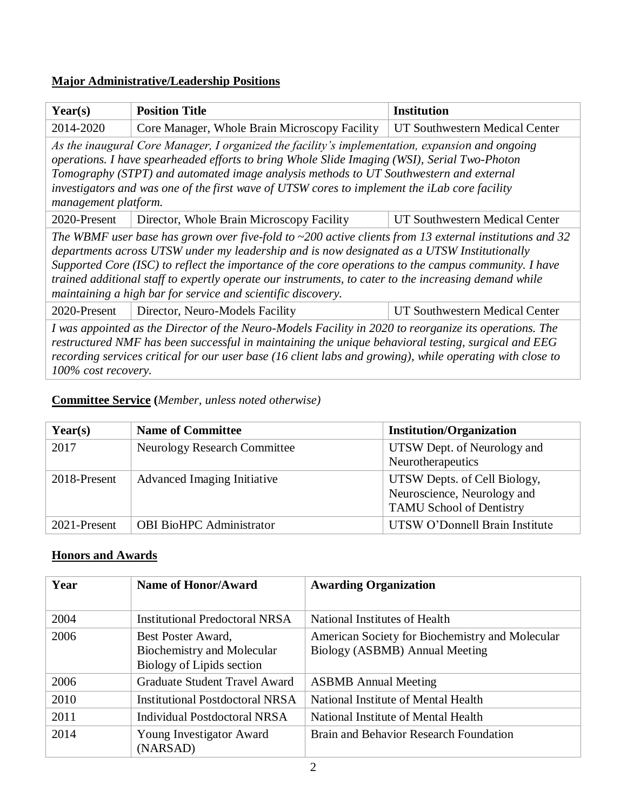## **Major Administrative/Leadership Positions**

| $\text{Year}(s)$                                                                                                                                                                                                                                                                                                                                                                                                                                                                               | <b>Position Title</b>                         | <b>Institution</b>             |
|------------------------------------------------------------------------------------------------------------------------------------------------------------------------------------------------------------------------------------------------------------------------------------------------------------------------------------------------------------------------------------------------------------------------------------------------------------------------------------------------|-----------------------------------------------|--------------------------------|
| 2014-2020                                                                                                                                                                                                                                                                                                                                                                                                                                                                                      | Core Manager, Whole Brain Microscopy Facility | UT Southwestern Medical Center |
| As the inaugural Core Manager, I organized the facility's implementation, expansion and ongoing<br>operations. I have spearheaded efforts to bring Whole Slide Imaging (WSI), Serial Two-Photon<br>Tomography (STPT) and automated image analysis methods to UT Southwestern and external<br>investigators and was one of the first wave of UTSW cores to implement the iLab core facility<br>management platform.                                                                             |                                               |                                |
| 2020-Present                                                                                                                                                                                                                                                                                                                                                                                                                                                                                   | Director, Whole Brain Microscopy Facility     | UT Southwestern Medical Center |
| The WBMF user base has grown over five-fold to $\sim$ 200 active clients from 13 external institutions and 32<br>departments across UTSW under my leadership and is now designated as a UTSW Institutionally<br>Supported Core (ISC) to reflect the importance of the core operations to the campus community. I have<br>trained additional staff to expertly operate our instruments, to cater to the increasing demand while<br>maintaining a high bar for service and scientific discovery. |                                               |                                |
| 2020-Present                                                                                                                                                                                                                                                                                                                                                                                                                                                                                   | Director, Neuro-Models Facility               | UT Southwestern Medical Center |
| I was appointed as the Director of the Neuro-Models Facility in 2020 to reorganize its operations. The<br>restructured NMF has been successful in maintaining the unique behavioral testing, surgical and EEG<br>recording services critical for our user base (16 client labs and growing), while operating with close to<br>100% cost recovery.                                                                                                                                              |                                               |                                |

### **Committee Service (***Member, unless noted otherwise)*

| Year(s)      | <b>Name of Committee</b>            | <b>Institution/Organization</b>                                                                |
|--------------|-------------------------------------|------------------------------------------------------------------------------------------------|
| 2017         | <b>Neurology Research Committee</b> | UTSW Dept. of Neurology and<br>Neurotherapeutics                                               |
| 2018-Present | Advanced Imaging Initiative         | UTSW Depts. of Cell Biology,<br>Neuroscience, Neurology and<br><b>TAMU School of Dentistry</b> |
| 2021-Present | <b>OBI BioHPC Administrator</b>     | UTSW O'Donnell Brain Institute                                                                 |

### **Honors and Awards**

| Year | <b>Name of Honor/Award</b>                                                    | <b>Awarding Organization</b>                                                      |
|------|-------------------------------------------------------------------------------|-----------------------------------------------------------------------------------|
| 2004 | <b>Institutional Predoctoral NRSA</b>                                         | National Institutes of Health                                                     |
| 2006 | Best Poster Award,<br>Biochemistry and Molecular<br>Biology of Lipids section | American Society for Biochemistry and Molecular<br>Biology (ASBMB) Annual Meeting |
| 2006 | <b>Graduate Student Travel Award</b>                                          | <b>ASBMB</b> Annual Meeting                                                       |
| 2010 | Institutional Postdoctoral NRSA                                               | National Institute of Mental Health                                               |
| 2011 | <b>Individual Postdoctoral NRSA</b>                                           | National Institute of Mental Health                                               |
| 2014 | Young Investigator Award<br>(NARSAD)                                          | Brain and Behavior Research Foundation                                            |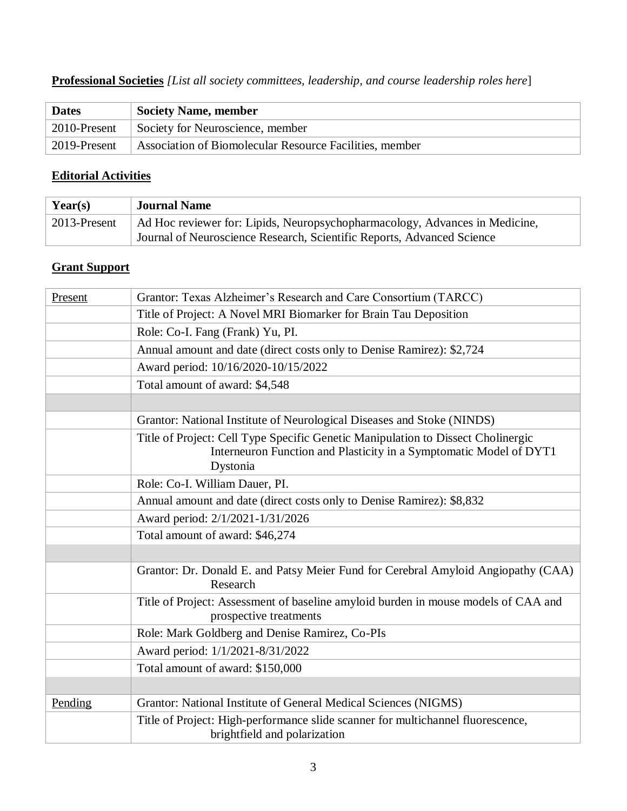### **Professional Societies** *[List all society committees, leadership, and course leadership roles here*]

| <b>Dates</b> | <b>Society Name, member</b>                             |
|--------------|---------------------------------------------------------|
| 2010-Present | Society for Neuroscience, member                        |
| 2019-Present | Association of Biomolecular Resource Facilities, member |

### **Editorial Activities**

| Year(s)      | <b>Journal Name</b>                                                                                                                                   |
|--------------|-------------------------------------------------------------------------------------------------------------------------------------------------------|
| 2013-Present | Ad Hoc reviewer for: Lipids, Neuropsychopharmacology, Advances in Medicine,<br>Journal of Neuroscience Research, Scientific Reports, Advanced Science |

# **Grant Support**

| Present | Grantor: Texas Alzheimer's Research and Care Consortium (TARCC)                                                                                                    |
|---------|--------------------------------------------------------------------------------------------------------------------------------------------------------------------|
|         | Title of Project: A Novel MRI Biomarker for Brain Tau Deposition                                                                                                   |
|         | Role: Co-I. Fang (Frank) Yu, PI.                                                                                                                                   |
|         | Annual amount and date (direct costs only to Denise Ramirez): \$2,724                                                                                              |
|         | Award period: 10/16/2020-10/15/2022                                                                                                                                |
|         | Total amount of award: \$4,548                                                                                                                                     |
|         |                                                                                                                                                                    |
|         | Grantor: National Institute of Neurological Diseases and Stoke (NINDS)                                                                                             |
|         | Title of Project: Cell Type Specific Genetic Manipulation to Dissect Cholinergic<br>Interneuron Function and Plasticity in a Symptomatic Model of DYT1<br>Dystonia |
|         | Role: Co-I. William Dauer, PI.                                                                                                                                     |
|         | Annual amount and date (direct costs only to Denise Ramirez): \$8,832                                                                                              |
|         | Award period: 2/1/2021-1/31/2026                                                                                                                                   |
|         | Total amount of award: \$46,274                                                                                                                                    |
|         |                                                                                                                                                                    |
|         | Grantor: Dr. Donald E. and Patsy Meier Fund for Cerebral Amyloid Angiopathy (CAA)<br>Research                                                                      |
|         | Title of Project: Assessment of baseline amyloid burden in mouse models of CAA and<br>prospective treatments                                                       |
|         | Role: Mark Goldberg and Denise Ramirez, Co-PIs                                                                                                                     |
|         | Award period: 1/1/2021-8/31/2022                                                                                                                                   |
|         | Total amount of award: \$150,000                                                                                                                                   |
|         |                                                                                                                                                                    |
| Pending | Grantor: National Institute of General Medical Sciences (NIGMS)                                                                                                    |
|         | Title of Project: High-performance slide scanner for multichannel fluorescence,<br>brightfield and polarization                                                    |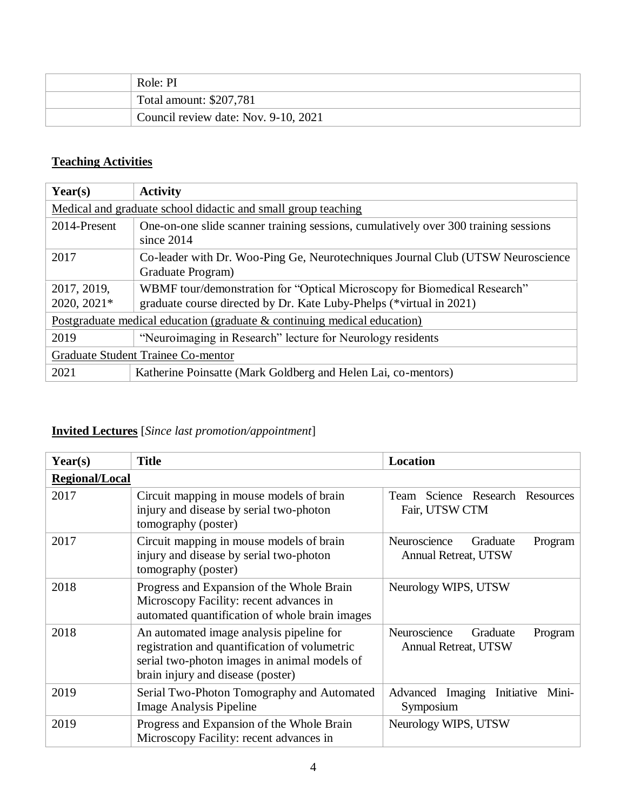| Role: PI                             |
|--------------------------------------|
| Total amount: \$207,781              |
| Council review date: Nov. 9-10, 2021 |

## **Teaching Activities**

| Year(s)                                                                  | <b>Activity</b>                                                                                                                                 |
|--------------------------------------------------------------------------|-------------------------------------------------------------------------------------------------------------------------------------------------|
|                                                                          | Medical and graduate school didactic and small group teaching                                                                                   |
| 2014-Present                                                             | One-on-one slide scanner training sessions, cumulatively over 300 training sessions<br>since $2014$                                             |
| 2017                                                                     | Co-leader with Dr. Woo-Ping Ge, Neurotechniques Journal Club (UTSW Neuroscience<br>Graduate Program)                                            |
| 2017, 2019,<br>2020, 2021*                                               | WBMF tour/demonstration for "Optical Microscopy for Biomedical Research"<br>graduate course directed by Dr. Kate Luby-Phelps (*virtual in 2021) |
| Postgraduate medical education (graduate & continuing medical education) |                                                                                                                                                 |
| 2019                                                                     | "Neuroimaging in Research" lecture for Neurology residents                                                                                      |
| Graduate Student Trainee Co-mentor                                       |                                                                                                                                                 |
| 2021                                                                     | Katherine Poinsatte (Mark Goldberg and Helen Lai, co-mentors)                                                                                   |

# **Invited Lectures** [*Since last promotion/appointment*]

| Year(s)               | <b>Title</b>                                                                                                                                                                   | <b>Location</b>                                                    |
|-----------------------|--------------------------------------------------------------------------------------------------------------------------------------------------------------------------------|--------------------------------------------------------------------|
| <b>Regional/Local</b> |                                                                                                                                                                                |                                                                    |
| 2017                  | Circuit mapping in mouse models of brain<br>injury and disease by serial two-photon<br>tomography (poster)                                                                     | Team Science Research Resources<br>Fair, UTSW CTM                  |
| 2017                  | Circuit mapping in mouse models of brain<br>injury and disease by serial two-photon<br>tomography (poster)                                                                     | Neuroscience<br>Graduate<br>Program<br><b>Annual Retreat, UTSW</b> |
| 2018                  | Progress and Expansion of the Whole Brain<br>Microscopy Facility: recent advances in<br>automated quantification of whole brain images                                         | Neurology WIPS, UTSW                                               |
| 2018                  | An automated image analysis pipeline for<br>registration and quantification of volumetric<br>serial two-photon images in animal models of<br>brain injury and disease (poster) | Neuroscience<br>Graduate<br>Program<br><b>Annual Retreat, UTSW</b> |
| 2019                  | Serial Two-Photon Tomography and Automated<br><b>Image Analysis Pipeline</b>                                                                                                   | Initiative<br>Advanced Imaging<br>Mini-<br>Symposium               |
| 2019                  | Progress and Expansion of the Whole Brain<br>Microscopy Facility: recent advances in                                                                                           | Neurology WIPS, UTSW                                               |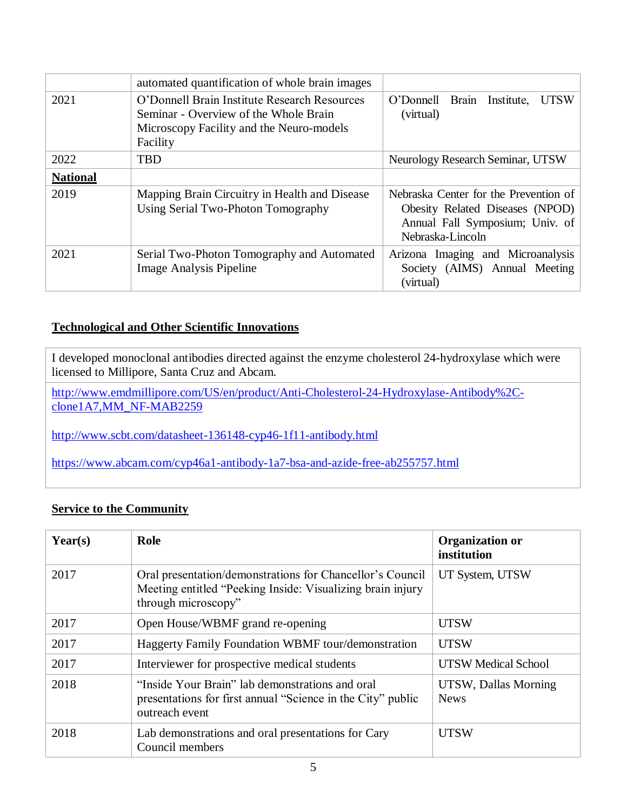|                 | automated quantification of whole brain images                                                                                                |                                                                                                                                 |
|-----------------|-----------------------------------------------------------------------------------------------------------------------------------------------|---------------------------------------------------------------------------------------------------------------------------------|
| 2021            | O'Donnell Brain Institute Research Resources<br>Seminar - Overview of the Whole Brain<br>Microscopy Facility and the Neuro-models<br>Facility | <b>UTSW</b><br>O'Donnell Brain Institute,<br>(virtual)                                                                          |
| 2022            | <b>TBD</b>                                                                                                                                    | Neurology Research Seminar, UTSW                                                                                                |
| <b>National</b> |                                                                                                                                               |                                                                                                                                 |
| 2019            | Mapping Brain Circuitry in Health and Disease<br>Using Serial Two-Photon Tomography                                                           | Nebraska Center for the Prevention of<br>Obesity Related Diseases (NPOD)<br>Annual Fall Symposium; Univ. of<br>Nebraska-Lincoln |
| 2021            | Serial Two-Photon Tomography and Automated<br><b>Image Analysis Pipeline</b>                                                                  | Arizona Imaging and Microanalysis<br>Society (AIMS) Annual Meeting<br>(virtual)                                                 |

#### **Technological and Other Scientific Innovations**

I developed monoclonal antibodies directed against the enzyme cholesterol 24-hydroxylase which were licensed to Millipore, Santa Cruz and Abcam.

[http://www.emdmillipore.com/US/en/product/Anti-Cholesterol-24-Hydroxylase-Antibody%2C](http://www.emdmillipore.com/US/en/product/Anti-Cholesterol-24-Hydroxylase-Antibody%2C-clone1A7,MM_NF-MAB2259)[clone1A7,MM\\_NF-MAB2259](http://www.emdmillipore.com/US/en/product/Anti-Cholesterol-24-Hydroxylase-Antibody%2C-clone1A7,MM_NF-MAB2259)

<http://www.scbt.com/datasheet-136148-cyp46-1f11-antibody.html>

<https://www.abcam.com/cyp46a1-antibody-1a7-bsa-and-azide-free-ab255757.html>

#### **Service to the Community**

| Year(s) | Role                                                                                                                                           | <b>Organization or</b><br>institution |
|---------|------------------------------------------------------------------------------------------------------------------------------------------------|---------------------------------------|
| 2017    | Oral presentation/demonstrations for Chancellor's Council<br>Meeting entitled "Peeking Inside: Visualizing brain injury<br>through microscopy" | UT System, UTSW                       |
| 2017    | Open House/WBMF grand re-opening                                                                                                               | <b>UTSW</b>                           |
| 2017    | <b>Haggerty Family Foundation WBMF tour/demonstration</b>                                                                                      | <b>UTSW</b>                           |
| 2017    | Interviewer for prospective medical students                                                                                                   | <b>UTSW Medical School</b>            |
| 2018    | "Inside Your Brain" lab demonstrations and oral<br>presentations for first annual "Science in the City" public<br>outreach event               | UTSW, Dallas Morning<br><b>News</b>   |
| 2018    | Lab demonstrations and oral presentations for Cary<br>Council members                                                                          | <b>UTSW</b>                           |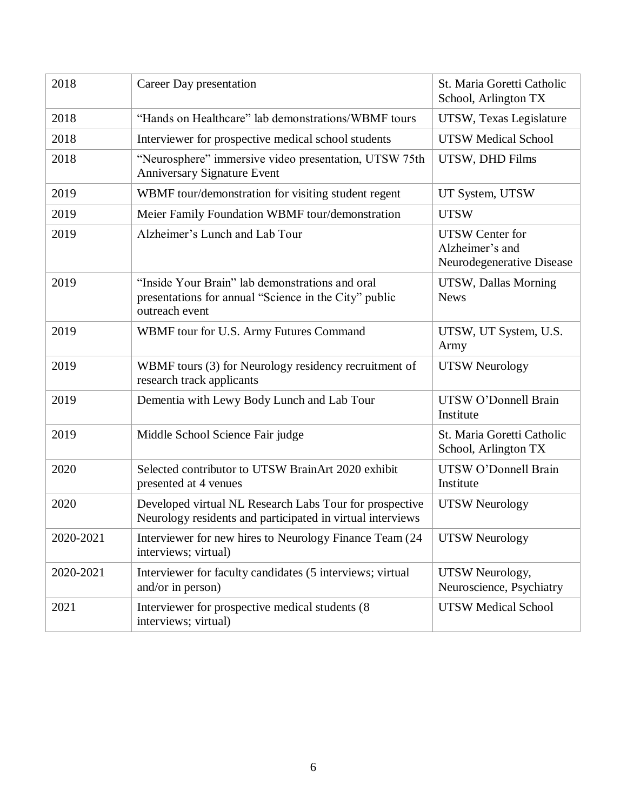| 2018      | Career Day presentation                                                                                                    | St. Maria Goretti Catholic<br>School, Arlington TX                     |
|-----------|----------------------------------------------------------------------------------------------------------------------------|------------------------------------------------------------------------|
| 2018      | "Hands on Healthcare" lab demonstrations/WBMF tours                                                                        | UTSW, Texas Legislature                                                |
| 2018      | Interviewer for prospective medical school students                                                                        | <b>UTSW Medical School</b>                                             |
| 2018      | "Neurosphere" immersive video presentation, UTSW 75th<br><b>Anniversary Signature Event</b>                                | UTSW, DHD Films                                                        |
| 2019      | WBMF tour/demonstration for visiting student regent                                                                        | UT System, UTSW                                                        |
| 2019      | Meier Family Foundation WBMF tour/demonstration                                                                            | <b>UTSW</b>                                                            |
| 2019      | Alzheimer's Lunch and Lab Tour                                                                                             | <b>UTSW</b> Center for<br>Alzheimer's and<br>Neurodegenerative Disease |
| 2019      | "Inside Your Brain" lab demonstrations and oral<br>presentations for annual "Science in the City" public<br>outreach event | UTSW, Dallas Morning<br><b>News</b>                                    |
| 2019      | WBMF tour for U.S. Army Futures Command                                                                                    | UTSW, UT System, U.S.<br>Army                                          |
| 2019      | WBMF tours (3) for Neurology residency recruitment of<br>research track applicants                                         | <b>UTSW Neurology</b>                                                  |
| 2019      | Dementia with Lewy Body Lunch and Lab Tour                                                                                 | UTSW O'Donnell Brain<br>Institute                                      |
| 2019      | Middle School Science Fair judge                                                                                           | St. Maria Goretti Catholic<br>School, Arlington TX                     |
| 2020      | Selected contributor to UTSW BrainArt 2020 exhibit<br>presented at 4 venues                                                | UTSW O'Donnell Brain<br>Institute                                      |
| 2020      | Developed virtual NL Research Labs Tour for prospective<br>Neurology residents and participated in virtual interviews      | <b>UTSW Neurology</b>                                                  |
| 2020-2021 | Interviewer for new hires to Neurology Finance Team (24<br>interviews; virtual)                                            | <b>UTSW Neurology</b>                                                  |
| 2020-2021 | Interviewer for faculty candidates (5 interviews; virtual<br>and/or in person)                                             | UTSW Neurology,<br>Neuroscience, Psychiatry                            |
| 2021      | Interviewer for prospective medical students (8)<br>interviews; virtual)                                                   | <b>UTSW Medical School</b>                                             |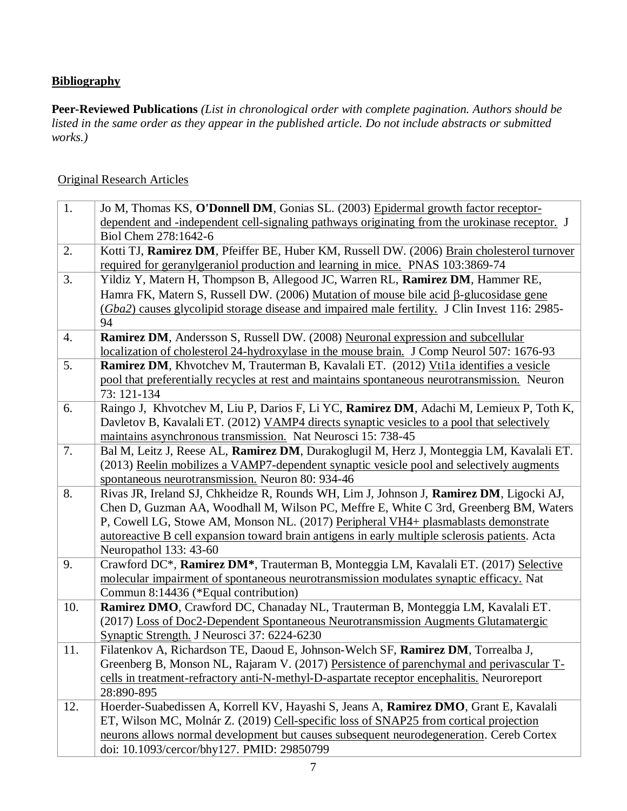### **Bibliography**

**Peer-Reviewed Publications** *(List in chronological order with complete pagination. Authors should be listed in the same order as they appear in the published article. Do not include abstracts or submitted works.)*

#### Original Research Articles

| 1.  | Jo M, Thomas KS, O'Donnell DM, Gonias SL. (2003) Epidermal growth factor receptor-                                                          |
|-----|---------------------------------------------------------------------------------------------------------------------------------------------|
|     | dependent and -independent cell-signaling pathways originating from the urokinase receptor. J                                               |
|     | Biol Chem 278:1642-6                                                                                                                        |
| 2.  | Kotti TJ, Ramirez DM, Pfeiffer BE, Huber KM, Russell DW. (2006) Brain cholesterol turnover                                                  |
|     | required for geranylgeraniol production and learning in mice. PNAS 103:3869-74                                                              |
| 3.  | Yildiz Y, Matern H, Thompson B, Allegood JC, Warren RL, Ramirez DM, Hammer RE,                                                              |
|     | Hamra FK, Matern S, Russell DW. (2006) Mutation of mouse bile acid β-glucosidase gene                                                       |
|     | (Gba2) causes glycolipid storage disease and impaired male fertility. J Clin Invest 116: 2985-                                              |
|     | 94                                                                                                                                          |
| 4.  | Ramirez DM, Andersson S, Russell DW. (2008) Neuronal expression and subcellular                                                             |
|     | localization of cholesterol 24-hydroxylase in the mouse brain. J Comp Neurol 507: 1676-93                                                   |
| 5.  | Ramirez DM, Khvotchev M, Trauterman B, Kavalali ET. (2012) Vtila identifies a vesicle                                                       |
|     | pool that preferentially recycles at rest and maintains spontaneous neurotransmission. Neuron                                               |
|     | 73: 121-134                                                                                                                                 |
| 6.  | Raingo J, Khvotchev M, Liu P, Darios F, Li YC, Ramirez DM, Adachi M, Lemieux P, Toth K,                                                     |
|     | Davletov B, Kavalali ET. (2012) VAMP4 directs synaptic vesicles to a pool that selectively                                                  |
|     | maintains asynchronous transmission. Nat Neurosci 15: 738-45                                                                                |
| 7.  | Bal M, Leitz J, Reese AL, Ramirez DM, Durakoglugil M, Herz J, Monteggia LM, Kavalali ET.                                                    |
|     | (2013) Reelin mobilizes a VAMP7-dependent synaptic vesicle pool and selectively augments                                                    |
| 8.  | spontaneous neurotransmission. Neuron 80: 934-46<br>Rivas JR, Ireland SJ, Chkheidze R, Rounds WH, Lim J, Johnson J, Ramirez DM, Ligocki AJ, |
|     | Chen D, Guzman AA, Woodhall M, Wilson PC, Meffre E, White C 3rd, Greenberg BM, Waters                                                       |
|     | P, Cowell LG, Stowe AM, Monson NL. (2017) Peripheral VH4+ plasmablasts demonstrate                                                          |
|     | autoreactive B cell expansion toward brain antigens in early multiple sclerosis patients. Acta                                              |
|     | Neuropathol 133: 43-60                                                                                                                      |
| 9.  | Crawford DC*, Ramirez DM*, Trauterman B, Monteggia LM, Kavalali ET. (2017) Selective                                                        |
|     | molecular impairment of spontaneous neurotransmission modulates synaptic efficacy. Nat                                                      |
|     | Commun 8:14436 (*Equal contribution)                                                                                                        |
| 10. | Ramirez DMO, Crawford DC, Chanaday NL, Trauterman B, Monteggia LM, Kavalali ET.                                                             |
|     | (2017) Loss of Doc2-Dependent Spontaneous Neurotransmission Augments Glutamatergic                                                          |
|     | Synaptic Strength. J Neurosci 37: 6224-6230                                                                                                 |
| 11. | Filatenkov A, Richardson TE, Daoud E, Johnson-Welch SF, Ramirez DM, Torrealba J,                                                            |
|     | Greenberg B, Monson NL, Rajaram V. (2017) Persistence of parenchymal and perivascular T-                                                    |
|     | cells in treatment-refractory anti-N-methyl-D-aspartate receptor encephalitis. Neuroreport                                                  |
|     | 28:890-895                                                                                                                                  |
| 12. | Hoerder-Suabedissen A, Korrell KV, Hayashi S, Jeans A, Ramirez DMO, Grant E, Kavalali                                                       |
|     | ET, Wilson MC, Molnár Z. (2019) Cell-specific loss of SNAP25 from cortical projection                                                       |
|     | neurons allows normal development but causes subsequent neurodegeneration. Cereb Cortex                                                     |
|     | doi: 10.1093/cercor/bhy127. PMID: 29850799                                                                                                  |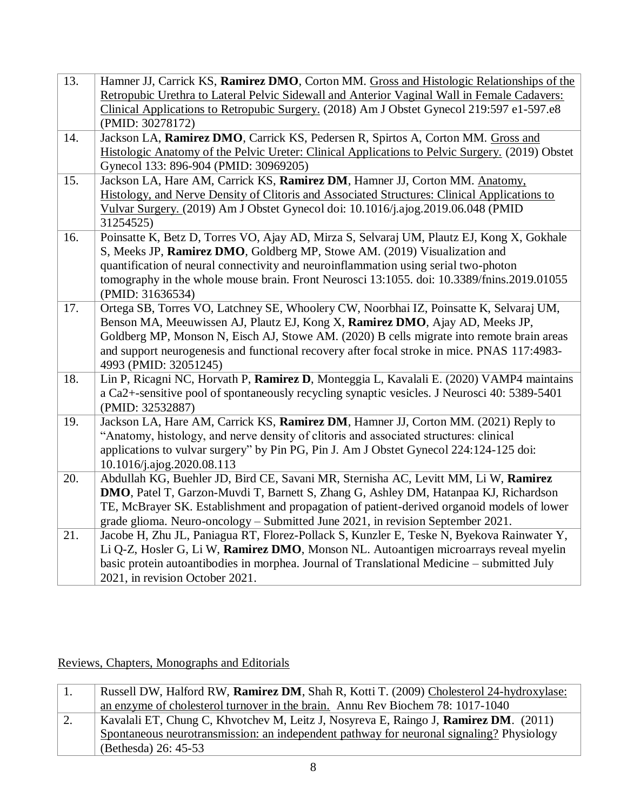| 13. | Hamner JJ, Carrick KS, Ramirez DMO, Corton MM. Gross and Histologic Relationships of the        |
|-----|-------------------------------------------------------------------------------------------------|
|     | Retropubic Urethra to Lateral Pelvic Sidewall and Anterior Vaginal Wall in Female Cadavers:     |
|     | Clinical Applications to Retropubic Surgery. (2018) Am J Obstet Gynecol 219:597 e1-597.e8       |
|     | (PMID: 30278172)                                                                                |
| 14. | Jackson LA, Ramirez DMO, Carrick KS, Pedersen R, Spirtos A, Corton MM. Gross and                |
|     | Histologic Anatomy of the Pelvic Ureter: Clinical Applications to Pelvic Surgery. (2019) Obstet |
|     | Gynecol 133: 896-904 (PMID: 30969205)                                                           |
| 15. | Jackson LA, Hare AM, Carrick KS, Ramirez DM, Hamner JJ, Corton MM. Anatomy,                     |
|     | Histology, and Nerve Density of Clitoris and Associated Structures: Clinical Applications to    |
|     | Vulvar Surgery. (2019) Am J Obstet Gynecol doi: 10.1016/j.ajog.2019.06.048 (PMID                |
|     | 31254525)                                                                                       |
| 16. | Poinsatte K, Betz D, Torres VO, Ajay AD, Mirza S, Selvaraj UM, Plautz EJ, Kong X, Gokhale       |
|     | S, Meeks JP, Ramirez DMO, Goldberg MP, Stowe AM. (2019) Visualization and                       |
|     | quantification of neural connectivity and neuroinflammation using serial two-photon             |
|     | tomography in the whole mouse brain. Front Neurosci 13:1055. doi: 10.3389/fnins.2019.01055      |
|     | (PMID: 31636534)                                                                                |
| 17. | Ortega SB, Torres VO, Latchney SE, Whoolery CW, Noorbhai IZ, Poinsatte K, Selvaraj UM,          |
|     | Benson MA, Meeuwissen AJ, Plautz EJ, Kong X, Ramirez DMO, Ajay AD, Meeks JP,                    |
|     | Goldberg MP, Monson N, Eisch AJ, Stowe AM. (2020) B cells migrate into remote brain areas       |
|     | and support neurogenesis and functional recovery after focal stroke in mice. PNAS 117:4983-     |
|     | 4993 (PMID: 32051245)                                                                           |
| 18. | Lin P, Ricagni NC, Horvath P, Ramirez D, Monteggia L, Kavalali E. (2020) VAMP4 maintains        |
|     | a Ca2+-sensitive pool of spontaneously recycling synaptic vesicles. J Neurosci 40: 5389-5401    |
|     | (PMID: 32532887)                                                                                |
| 19. | Jackson LA, Hare AM, Carrick KS, Ramirez DM, Hamner JJ, Corton MM. (2021) Reply to              |
|     | "Anatomy, histology, and nerve density of clitoris and associated structures: clinical          |
|     | applications to vulvar surgery" by Pin PG, Pin J. Am J Obstet Gynecol 224:124-125 doi:          |
|     | 10.1016/j.ajog.2020.08.113                                                                      |
| 20. | Abdullah KG, Buehler JD, Bird CE, Savani MR, Sternisha AC, Levitt MM, Li W, Ramirez             |
|     | DMO, Patel T, Garzon-Muvdi T, Barnett S, Zhang G, Ashley DM, Hatanpaa KJ, Richardson            |
|     | TE, McBrayer SK. Establishment and propagation of patient-derived organoid models of lower      |
|     | grade glioma. Neuro-oncology - Submitted June 2021, in revision September 2021.                 |
| 21. | Jacobe H, Zhu JL, Paniagua RT, Florez-Pollack S, Kunzler E, Teske N, Byekova Rainwater Y,       |
|     | Li Q-Z, Hosler G, Li W, Ramirez DMO, Monson NL. Autoantigen microarrays reveal myelin           |
|     | basic protein autoantibodies in morphea. Journal of Translational Medicine - submitted July     |
|     | 2021, in revision October 2021.                                                                 |

Reviews, Chapters, Monographs and Editorials

|    | Russell DW, Halford RW, Ramirez DM, Shah R, Kotti T. (2009) Cholesterol 24-hydroxylase:      |
|----|----------------------------------------------------------------------------------------------|
|    | an enzyme of cholesterol turnover in the brain. Annu Rev Biochem 78: 1017-1040               |
| 2. | Kavalali ET, Chung C, Khvotchev M, Leitz J, Nosyreva E, Raingo J, <b>Ramirez DM</b> . (2011) |
|    | Spontaneous neurotransmission: an independent pathway for neuronal signaling? Physiology     |
|    | (Bethesda) 26: 45-53                                                                         |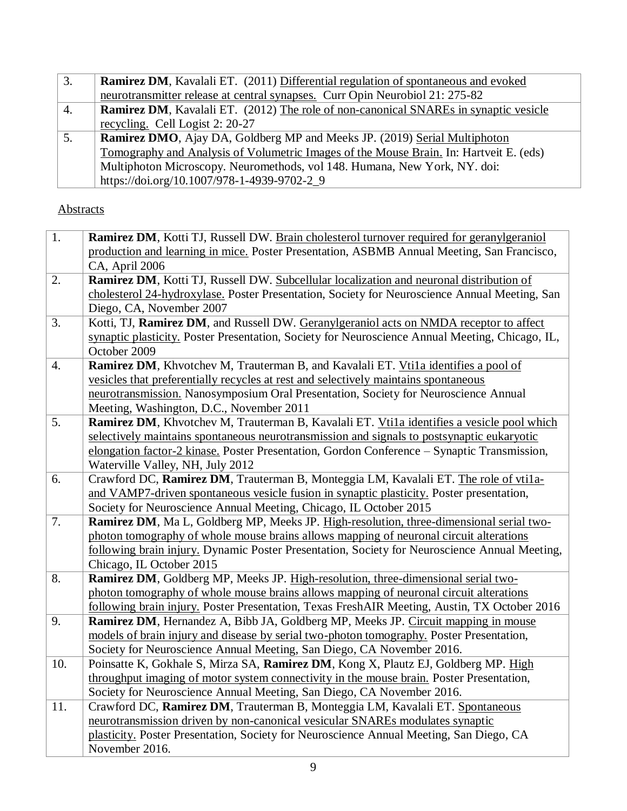| 3.               | <b>Ramirez DM, Kavalali ET.</b> (2011) Differential regulation of spontaneous and evoked    |
|------------------|---------------------------------------------------------------------------------------------|
|                  | neurotransmitter release at central synapses. Curr Opin Neurobiol 21: 275-82                |
| $\overline{4}$ . | <b>Ramirez DM,</b> Kavalali ET. (2012) The role of non-canonical SNAREs in synaptic vesicle |
|                  | recycling. Cell Logist 2: 20-27                                                             |
| 5.               | <b>Ramirez DMO</b> , Ajay DA, Goldberg MP and Meeks JP. (2019) Serial Multiphoton           |
|                  | Tomography and Analysis of Volumetric Images of the Mouse Brain. In: Hartveit E. (eds)      |
|                  | Multiphoton Microscopy. Neuromethods, vol 148. Humana, New York, NY. doi:                   |
|                  | https://doi.org/10.1007/978-1-4939-9702-2_9                                                 |

## **Abstracts**

| 1.               | Ramirez DM, Kotti TJ, Russell DW. Brain cholesterol turnover required for geranylgeraniol       |
|------------------|-------------------------------------------------------------------------------------------------|
|                  | production and learning in mice. Poster Presentation, ASBMB Annual Meeting, San Francisco,      |
|                  | CA, April 2006                                                                                  |
| 2.               | Ramirez DM, Kotti TJ, Russell DW. Subcellular localization and neuronal distribution of         |
|                  | cholesterol 24-hydroxylase. Poster Presentation, Society for Neuroscience Annual Meeting, San   |
|                  | Diego, CA, November 2007                                                                        |
| 3.               | Kotti, TJ, Ramirez DM, and Russell DW. Geranylgeraniol acts on NMDA receptor to affect          |
|                  | synaptic plasticity. Poster Presentation, Society for Neuroscience Annual Meeting, Chicago, IL, |
|                  | October 2009                                                                                    |
| $\overline{4}$ . | Ramirez DM, Khvotchev M, Trauterman B, and Kavalali ET. Vtila identifies a pool of              |
|                  | vesicles that preferentially recycles at rest and selectively maintains spontaneous             |
|                  | neurotransmission. Nanosymposium Oral Presentation, Society for Neuroscience Annual             |
|                  | Meeting, Washington, D.C., November 2011                                                        |
| 5.               | Ramirez DM, Khvotchev M, Trauterman B, Kavalali ET. Vtila identifies a vesicle pool which       |
|                  | selectively maintains spontaneous neurotransmission and signals to postsynaptic eukaryotic      |
|                  | elongation factor-2 kinase. Poster Presentation, Gordon Conference - Synaptic Transmission,     |
|                  | Waterville Valley, NH, July 2012                                                                |
| 6.               | Crawford DC, Ramirez DM, Trauterman B, Monteggia LM, Kavalali ET. The role of vtila-            |
|                  | and VAMP7-driven spontaneous vesicle fusion in synaptic plasticity. Poster presentation,        |
|                  | Society for Neuroscience Annual Meeting, Chicago, IL October 2015                               |
| 7.               | Ramirez DM, Ma L, Goldberg MP, Meeks JP. High-resolution, three-dimensional serial two-         |
|                  | photon tomography of whole mouse brains allows mapping of neuronal circuit alterations          |
|                  | following brain injury. Dynamic Poster Presentation, Society for Neuroscience Annual Meeting,   |
|                  | Chicago, IL October 2015                                                                        |
| 8.               | Ramirez DM, Goldberg MP, Meeks JP. High-resolution, three-dimensional serial two-               |
|                  | photon tomography of whole mouse brains allows mapping of neuronal circuit alterations          |
|                  | following brain injury. Poster Presentation, Texas FreshAIR Meeting, Austin, TX October 2016    |
| 9.               | Ramirez DM, Hernandez A, Bibb JA, Goldberg MP, Meeks JP. Circuit mapping in mouse               |
|                  | models of brain injury and disease by serial two-photon tomography. Poster Presentation,        |
|                  | Society for Neuroscience Annual Meeting, San Diego, CA November 2016.                           |
| 10.              | Poinsatte K, Gokhale S, Mirza SA, Ramirez DM, Kong X, Plautz EJ, Goldberg MP. High              |
|                  | throughput imaging of motor system connectivity in the mouse brain. Poster Presentation,        |
|                  | Society for Neuroscience Annual Meeting, San Diego, CA November 2016.                           |
| 11.              | Crawford DC, Ramirez DM, Trauterman B, Monteggia LM, Kavalali ET. Spontaneous                   |
|                  | neurotransmission driven by non-canonical vesicular SNAREs modulates synaptic                   |
|                  | plasticity. Poster Presentation, Society for Neuroscience Annual Meeting, San Diego, CA         |
|                  | November 2016.                                                                                  |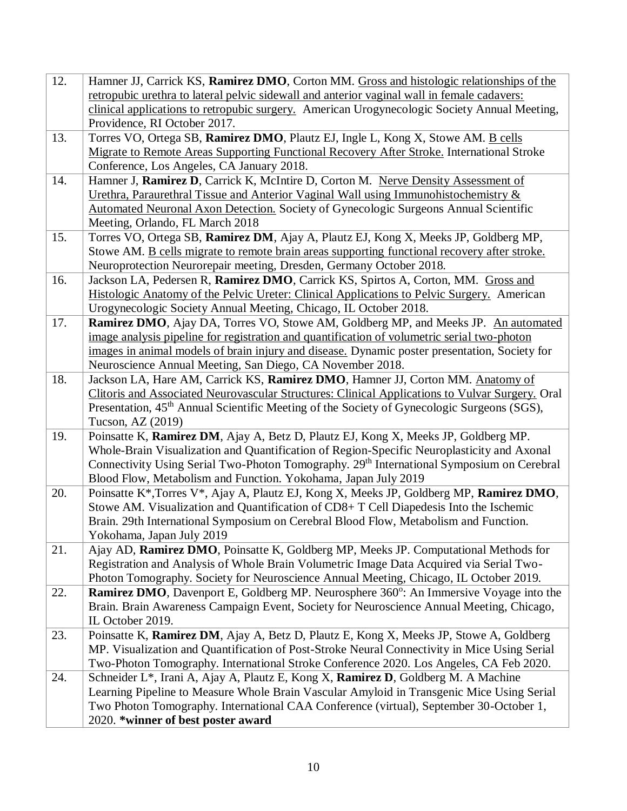| 12. | Hamner JJ, Carrick KS, Ramirez DMO, Corton MM. Gross and histologic relationships of the                                    |
|-----|-----------------------------------------------------------------------------------------------------------------------------|
|     | retropubic urethra to lateral pelvic sidewall and anterior vaginal wall in female cadavers:                                 |
|     | clinical applications to retropubic surgery. American Urogynecologic Society Annual Meeting,                                |
|     | Providence, RI October 2017.                                                                                                |
| 13. | Torres VO, Ortega SB, Ramirez DMO, Plautz EJ, Ingle L, Kong X, Stowe AM. B cells                                            |
|     | Migrate to Remote Areas Supporting Functional Recovery After Stroke. International Stroke                                   |
|     | Conference, Los Angeles, CA January 2018.                                                                                   |
| 14. | Hamner J, Ramirez D, Carrick K, McIntire D, Corton M. Nerve Density Assessment of                                           |
|     | Urethra, Paraurethral Tissue and Anterior Vaginal Wall using Immunohistochemistry &                                         |
|     | Automated Neuronal Axon Detection. Society of Gynecologic Surgeons Annual Scientific                                        |
|     | Meeting, Orlando, FL March 2018                                                                                             |
| 15. | Torres VO, Ortega SB, Ramirez DM, Ajay A, Plautz EJ, Kong X, Meeks JP, Goldberg MP,                                         |
|     | Stowe AM. B cells migrate to remote brain areas supporting functional recovery after stroke.                                |
|     | Neuroprotection Neurorepair meeting, Dresden, Germany October 2018.                                                         |
| 16. | Jackson LA, Pedersen R, Ramirez DMO, Carrick KS, Spirtos A, Corton, MM. Gross and                                           |
|     | Histologic Anatomy of the Pelvic Ureter: Clinical Applications to Pelvic Surgery. American                                  |
|     | Urogynecologic Society Annual Meeting, Chicago, IL October 2018.                                                            |
| 17. | Ramirez DMO, Ajay DA, Torres VO, Stowe AM, Goldberg MP, and Meeks JP. An automated                                          |
|     | image analysis pipeline for registration and quantification of volumetric serial two-photon                                 |
|     | images in animal models of brain injury and disease. Dynamic poster presentation, Society for                               |
|     | Neuroscience Annual Meeting, San Diego, CA November 2018.                                                                   |
| 18. | Jackson LA, Hare AM, Carrick KS, Ramirez DMO, Hamner JJ, Corton MM. Anatomy of                                              |
|     | Clitoris and Associated Neurovascular Structures: Clinical Applications to Vulvar Surgery. Oral                             |
|     | Presentation, 45 <sup>th</sup> Annual Scientific Meeting of the Society of Gynecologic Surgeons (SGS),<br>Tucson, AZ (2019) |
| 19. | Poinsatte K, Ramirez DM, Ajay A, Betz D, Plautz EJ, Kong X, Meeks JP, Goldberg MP.                                          |
|     | Whole-Brain Visualization and Quantification of Region-Specific Neuroplasticity and Axonal                                  |
|     | Connectivity Using Serial Two-Photon Tomography. 29 <sup>th</sup> International Symposium on Cerebral                       |
|     | Blood Flow, Metabolism and Function. Yokohama, Japan July 2019                                                              |
| 20. | Poinsatte K*, Torres V*, Ajay A, Plautz EJ, Kong X, Meeks JP, Goldberg MP, Ramirez DMO,                                     |
|     | Stowe AM. Visualization and Quantification of CD8+ T Cell Diapedesis Into the Ischemic                                      |
|     | Brain. 29th International Symposium on Cerebral Blood Flow, Metabolism and Function.                                        |
|     | Yokohama, Japan July 2019                                                                                                   |
| 21. | Ajay AD, Ramirez DMO, Poinsatte K, Goldberg MP, Meeks JP. Computational Methods for                                         |
|     | Registration and Analysis of Whole Brain Volumetric Image Data Acquired via Serial Two-                                     |
|     | Photon Tomography. Society for Neuroscience Annual Meeting, Chicago, IL October 2019.                                       |
| 22. | <b>Ramirez DMO</b> , Davenport E, Goldberg MP. Neurosphere 360°: An Immersive Voyage into the                               |
|     | Brain. Brain Awareness Campaign Event, Society for Neuroscience Annual Meeting, Chicago,                                    |
|     | IL October 2019.                                                                                                            |
| 23. | Poinsatte K, Ramirez DM, Ajay A, Betz D, Plautz E, Kong X, Meeks JP, Stowe A, Goldberg                                      |
|     | MP. Visualization and Quantification of Post-Stroke Neural Connectivity in Mice Using Serial                                |
|     | Two-Photon Tomography. International Stroke Conference 2020. Los Angeles, CA Feb 2020.                                      |
| 24. | Schneider L*, Irani A, Ajay A, Plautz E, Kong X, Ramirez D, Goldberg M. A Machine                                           |
|     | Learning Pipeline to Measure Whole Brain Vascular Amyloid in Transgenic Mice Using Serial                                   |
|     | Two Photon Tomography. International CAA Conference (virtual), September 30-October 1,                                      |
|     | 2020. *winner of best poster award                                                                                          |